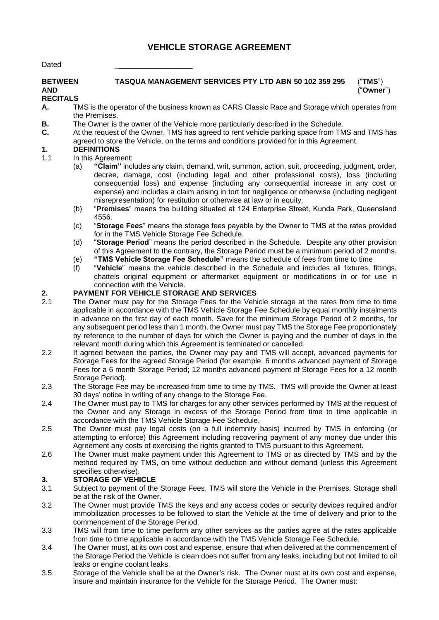# **VEHICLE STORAGE AGREEMENT**

Dated

**BETWEEN TASQUA MANAGEMENT SERVICES PTY LTD ABN 50 102 359 295** ("**TMS**") **AND** ("**Owner**")

# **RECITALS**

- **A.** TMS is the operator of the business known as CARS Classic Race and Storage which operates from the Premises.
- **B.** The Owner is the owner of the Vehicle more particularly described in the Schedule.
- **C.** At the request of the Owner, TMS has agreed to rent vehicle parking space from TMS and TMS has agreed to store the Vehicle, on the terms and conditions provided for in this Agreement.

# **1. DEFINITIONS**

# 1.1 In this Agreement:

- (a) **"Claim"** includes any claim, demand, writ, summon, action, suit, proceeding, judgment, order, decree, damage, cost (including legal and other professional costs), loss (including consequential loss) and expense (including any consequential increase in any cost or expense) and includes a claim arising in tort for negligence or otherwise (including negligent misrepresentation) for restitution or otherwise at law or in equity.
- (b) "**Premises**" means the building situated at 124 Enterprise Street, Kunda Park, Queensland 4556.
- (c) "**Storage Fees**" means the storage fees payable by the Owner to TMS at the rates provided for in the TMS Vehicle Storage Fee Schedule.
- (d) "**Storage Period**" means the period described in the Schedule. Despite any other provision of this Agreement to the contrary, the Storage Period must be a minimum period of 2 months.
- (e) **"TMS Vehicle Storage Fee Schedule"** means the schedule of fees from time to time
- (f) "**Vehicle**" means the vehicle described in the Schedule and includes all fixtures, fittings, chattels original equipment or aftermarket equipment or modifications in or for use in connection with the Vehicle.

# **2. PAYMENT FOR VEHICLE STORAGE AND SERVICES**

- 2.1 The Owner must pay for the Storage Fees for the Vehicle storage at the rates from time to time applicable in accordance with the TMS Vehicle Storage Fee Schedule by equal monthly instalments in advance on the first day of each month. Save for the minimum Storage Period of 2 months, for any subsequent period less than 1 month, the Owner must pay TMS the Storage Fee proportionately by reference to the number of days for which the Owner is paying and the number of days in the relevant month during which this Agreement is terminated or cancelled.
- 2.2 If agreed between the parties, the Owner may pay and TMS will accept, advanced payments for Storage Fees for the agreed Storage Period (for example, 6 months advanced payment of Storage Fees for a 6 month Storage Period; 12 months advanced payment of Storage Fees for a 12 month Storage Period).
- 2.3 The Storage Fee may be increased from time to time by TMS. TMS will provide the Owner at least 30 days' notice in writing of any change to the Storage Fee.
- 2.4 The Owner must pay to TMS for charges for any other services performed by TMS at the request of the Owner and any Storage in excess of the Storage Period from time to time applicable in accordance with the TMS Vehicle Storage Fee Schedule.
- 2.5 The Owner must pay legal costs (on a full indemnity basis) incurred by TMS in enforcing (or attempting to enforce) this Agreement including recovering payment of any money due under this Agreement any costs of exercising the rights granted to TMS pursuant to this Agreement.
- 2.6 The Owner must make payment under this Agreement to TMS or as directed by TMS and by the method required by TMS, on time without deduction and without demand (unless this Agreement specifies otherwise).

# **3. STORAGE OF VEHICLE**

- 3.1 Subject to payment of the Storage Fees, TMS will store the Vehicle in the Premises. Storage shall be at the risk of the Owner.
- 3.2 The Owner must provide TMS the keys and any access codes or security devices required and/or immobilization processes to be followed to start the Vehicle at the time of delivery and prior to the commencement of the Storage Period.
- 3.3 TMS will from time to time perform any other services as the parties agree at the rates applicable from time to time applicable in accordance with the TMS Vehicle Storage Fee Schedule.
- 3.4 The Owner must, at its own cost and expense, ensure that when delivered at the commencement of the Storage Period the Vehicle is clean does not suffer from any leaks, including but not limited to oil leaks or engine coolant leaks.
- <span id="page-0-0"></span>3.5 Storage of the Vehicle shall be at the Owner's risk. The Owner must at its own cost and expense, insure and maintain insurance for the Vehicle for the Storage Period. The Owner must: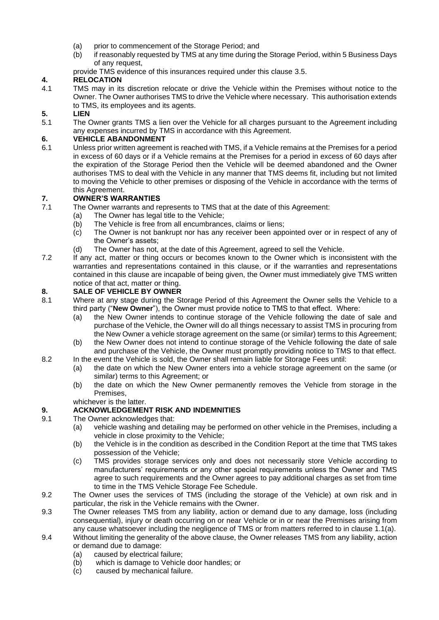- (a) prior to commencement of the Storage Period; and
- (b) if reasonably requested by TMS at any time during the Storage Period, within 5 Business Days of any request,
- provide TMS evidence of this insurances required under this clause [3.5.](#page-0-0)

# **4. RELOCATION**

4.1 TMS may in its discretion relocate or drive the Vehicle within the Premises without notice to the Owner. The Owner authorises TMS to drive the Vehicle where necessary. This authorisation extends to TMS, its employees and its agents.

# <span id="page-1-3"></span>**5. LIEN**

5.1 The Owner grants TMS a lien over the Vehicle for all charges pursuant to the Agreement including any expenses incurred by TMS in accordance with this Agreement.

# **6. VEHICLE ABANDONMENT**

6.1 Unless prior written agreement is reached with TMS, if a Vehicle remains at the Premises for a period in excess of 60 days or if a Vehicle remains at the Premises for a period in excess of 60 days after the expiration of the Storage Period then the Vehicle will be deemed abandoned and the Owner authorises TMS to deal with the Vehicle in any manner that TMS deems fit, including but not limited to moving the Vehicle to other premises or disposing of the Vehicle in accordance with the terms of this Agreement.

# **7. OWNER'S WARRANTIES**

- 7.1 The Owner warrants and represents to TMS that at the date of this Agreement:
	- (a) The Owner has legal title to the Vehicle;
		- (b) The Vehicle is free from all encumbrances, claims or liens;
		- (c) The Owner is not bankrupt nor has any receiver been appointed over or in respect of any of the Owner's assets;
		- (d) The Owner has not, at the date of this Agreement, agreed to sell the Vehicle.
- 7.2 If any act, matter or thing occurs or becomes known to the Owner which is inconsistent with the warranties and representations contained in this clause, or if the warranties and representations contained in this clause are incapable of being given, the Owner must immediately give TMS written notice of that act, matter or thing.

# **8. SALE OF VEHICLE BY OWNER**

- 8.1 Where at any stage during the Storage Period of this Agreement the Owner sells the Vehicle to a third party ("**New Owner**"), the Owner must provide notice to TMS to that effect. Where:
	- (a) the New Owner intends to continue storage of the Vehicle following the date of sale and purchase of the Vehicle, the Owner will do all things necessary to assist TMS in procuring from the New Owner a vehicle storage agreement on the same (or similar) terms to this Agreement;
	- (b) the New Owner does not intend to continue storage of the Vehicle following the date of sale and purchase of the Vehicle, the Owner must promptly providing notice to TMS to that effect.
- 8.2 In the event the Vehicle is sold, the Owner shall remain liable for Storage Fees until:
	- (a) the date on which the New Owner enters into a vehicle storage agreement on the same (or similar) terms to this Agreement; or
	- (b) the date on which the New Owner permanently removes the Vehicle from storage in the **Premises**

whichever is the latter.

#### **9. ACKNOWLEDGEMENT RISK AND INDEMNITIES**

#### <span id="page-1-0"></span>9.1 The Owner acknowledges that:

- (a) vehicle washing and detailing may be performed on other vehicle in the Premises, including a vehicle in close proximity to the Vehicle;
- (b) the Vehicle is in the condition as described in the Condition Report at the time that TMS takes possession of the Vehicle;
- (c) TMS provides storage services only and does not necessarily store Vehicle according to manufacturers' requirements or any other special requirements unless the Owner and TMS agree to such requirements and the Owner agrees to pay additional charges as set from time to time in the TMS Vehicle Storage Fee Schedule.
- <span id="page-1-1"></span>9.2 The Owner uses the services of TMS (including the storage of the Vehicle) at own risk and in particular, the risk in the Vehicle remains with the Owner.
- <span id="page-1-2"></span>9.3 The Owner releases TMS from any liability, action or demand due to any damage, loss (including consequential), injury or death occurring on or near Vehicle or in or near the Premises arising from any cause whatsoever including the negligence of TMS or from matters referred to in clause [1.1\(a\).](#page-1-0)
- 9.4 Without limiting the generality of the above clause, the Owner releases TMS from any liability, action or demand due to damage:
	- (a) caused by electrical failure;
	- (b) which is damage to Vehicle door handles; or
	- (c) caused by mechanical failure.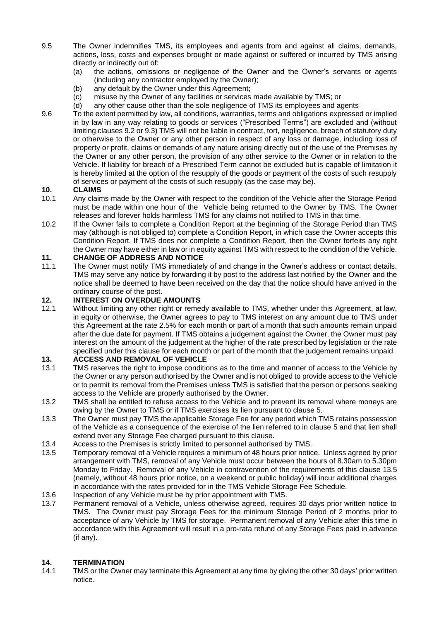- 9.5 The Owner indemnifies TMS, its employees and agents from and against all claims, demands, actions, loss, costs and expenses brought or made against or suffered or incurred by TMS arising directly or indirectly out of:
	- (a) the actions, omissions or negligence of the Owner and the Owner's servants or agents (including any contractor employed by the Owner);
	- (b) any default by the Owner under this Agreement;
	- (c) misuse by the Owner of any facilities or services made available by TMS; or
	- (d) any other cause other than the sole negligence of TMS its employees and agents
- 9.6 To the extent permitted by law, all conditions, warranties, terms and obligations expressed or implied in by law in any way relating to goods or services ("Prescribed Terms") are excluded and (without limiting clauses [9.2](#page-1-1) o[r 9.3\)](#page-1-2) TMS will not be liable in contract, tort, negligence, breach of statutory duty or otherwise to the Owner or any other person in respect of any loss or damage, including loss of property or profit, claims or demands of any nature arising directly out of the use of the Premises by the Owner or any other person, the provision of any other service to the Owner or in relation to the Vehicle. If liability for breach of a Prescribed Term cannot be excluded but is capable of limitation it is hereby limited at the option of the resupply of the goods or payment of the costs of such resupply of services or payment of the costs of such resupply (as the case may be).

# **10. CLAIMS**

- 10.1 Any claims made by the Owner with respect to the condition of the Vehicle after the Storage Period must be made within one hour of the Vehicle being returned to the Owner by TMS. The Owner releases and forever holds harmless TMS for any claims not notified to TMS in that time.
- 10.2 If the Owner fails to complete a Condition Report at the beginning of the Storage Period than TMS may (although is not obliged to) complete a Condition Report, in which case the Owner accepts this Condition Report. If TMS does not complete a Condition Report, then the Owner forfeits any right the Owner may have either in law or in equity against TMS with respect to the condition of the Vehicle.

#### **11. CHANGE OF ADDRESS AND NOTICE**

11.1 The Owner must notify TMS immediately of and change in the Owner's address or contact details. TMS may serve any notice by forwarding it by post to the address last notified by the Owner and the notice shall be deemed to have been received on the day that the notice should have arrived in the ordinary course of the post.

# **12. INTEREST ON OVERDUE AMOUNTS**

12.1 Without limiting any other right or remedy available to TMS, whether under this Agreement, at law, in equity or otherwise, the Owner agrees to pay to TMS interest on any amount due to TMS under this Agreement at the rate 2.5% for each month or part of a month that such amounts remain unpaid after the due date for payment. If TMS obtains a judgement against the Owner, the Owner must pay interest on the amount of the judgement at the higher of the rate prescribed by legislation or the rate specified under this clause for each month or part of the month that the judgement remains unpaid.

#### **13. ACCESS AND REMOVAL OF VEHICLE**

- 13.1 TMS reserves the right to impose conditions as to the time and manner of access to the Vehicle by the Owner or any person authorised by the Owner and is not obliged to provide access to the Vehicle or to permit its removal from the Premises unless TMS is satisfied that the person or persons seeking access to the Vehicle are properly authorised by the Owner.
- 13.2 TMS shall be entitled to refuse access to the Vehicle and to prevent its removal where moneys are owing by the Owner to TMS or if TMS exercises its lien pursuant to clause [5.](#page-1-3)
- 13.3 The Owner must pay TMS the applicable Storage Fee for any period which TMS retains possession of the Vehicle as a consequence of the exercise of the lien referred to in clause [5](#page-1-3) and that lien shall extend over any Storage Fee charged pursuant to this clause.
- 13.4 Access to the Premises is strictly limited to personnel authorised by TMS.
- <span id="page-2-0"></span>13.5 Temporary removal of a Vehicle requires a minimum of 48 hours prior notice. Unless agreed by prior arrangement with TMS, removal of any Vehicle must occur between the hours of 8.30am to 5.30pm Monday to Friday. Removal of any Vehicle in contravention of the requirements of this clause [13.5](#page-2-0) (namely, without 48 hours prior notice, on a weekend or public holiday) will incur additional charges in accordance with the rates provided for in the TMS Vehicle Storage Fee Schedule.
- 13.6 Inspection of any Vehicle must be by prior appointment with TMS.<br>13.7 Permanent removal of a Vehicle, unless otherwise agreed, required.
- Permanent removal of a Vehicle, unless otherwise agreed, requires 30 days prior written notice to TMS. The Owner must pay Storage Fees for the minimum Storage Period of 2 months prior to acceptance of any Vehicle by TMS for storage. Permanent removal of any Vehicle after this time in accordance with this Agreement will result in a pro-rata refund of any Storage Fees paid in advance (if any).

#### **14. TERMINATION**

14.1 TMS or the Owner may terminate this Agreement at any time by giving the other 30 days' prior written notice.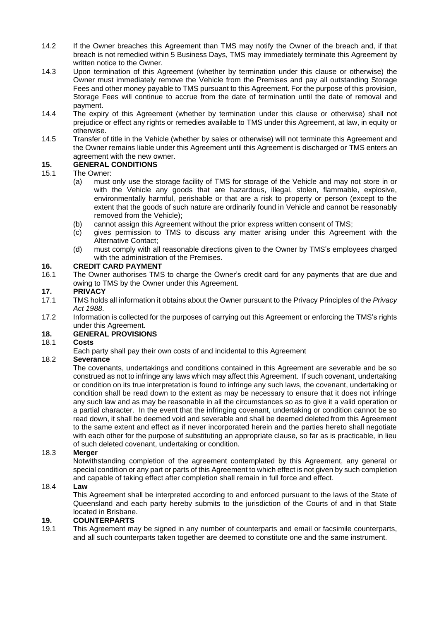- 14.2 If the Owner breaches this Agreement than TMS may notify the Owner of the breach and, if that breach is not remedied within 5 Business Days, TMS may immediately terminate this Agreement by written notice to the Owner.
- 14.3 Upon termination of this Agreement (whether by termination under this clause or otherwise) the Owner must immediately remove the Vehicle from the Premises and pay all outstanding Storage Fees and other money payable to TMS pursuant to this Agreement. For the purpose of this provision, Storage Fees will continue to accrue from the date of termination until the date of removal and payment.
- 14.4 The expiry of this Agreement (whether by termination under this clause or otherwise) shall not prejudice or effect any rights or remedies available to TMS under this Agreement, at law, in equity or otherwise.
- 14.5 Transfer of title in the Vehicle (whether by sales or otherwise) will not terminate this Agreement and the Owner remains liable under this Agreement until this Agreement is discharged or TMS enters an agreement with the new owner.

# **15. GENERAL CONDITIONS**

- 15.1 The Owner:
	- (a) must only use the storage facility of TMS for storage of the Vehicle and may not store in or with the Vehicle any goods that are hazardous, illegal, stolen, flammable, explosive, environmentally harmful, perishable or that are a risk to property or person (except to the extent that the goods of such nature are ordinarily found in Vehicle and cannot be reasonably removed from the Vehicle);
	- (b) cannot assign this Agreement without the prior express written consent of TMS;
	- (c) gives permission to TMS to discuss any matter arising under this Agreement with the Alternative Contact;
	- (d) must comply with all reasonable directions given to the Owner by TMS's employees charged with the administration of the Premises.

# **16. CREDIT CARD PAYMENT**

16.1 The Owner authorises TMS to charge the Owner's credit card for any payments that are due and owing to TMS by the Owner under this Agreement.

# **17. PRIVACY**

- 17.1 TMS holds all information it obtains about the Owner pursuant to the Privacy Principles of the *Privacy Act 1988*.
- 17.2 Information is collected for the purposes of carrying out this Agreement or enforcing the TMS's rights under this Agreement.

#### **18. GENERAL PROVISIONS**

- 18.1 **Costs**
	- Each party shall pay their own costs of and incidental to this Agreement

#### 18.2 **Severance**

The covenants, undertakings and conditions contained in this Agreement are severable and be so construed as not to infringe any laws which may affect this Agreement. If such covenant, undertaking or condition on its true interpretation is found to infringe any such laws, the covenant, undertaking or condition shall be read down to the extent as may be necessary to ensure that it does not infringe any such law and as may be reasonable in all the circumstances so as to give it a valid operation or a partial character. In the event that the infringing covenant, undertaking or condition cannot be so read down, it shall be deemed void and severable and shall be deemed deleted from this Agreement to the same extent and effect as if never incorporated herein and the parties hereto shall negotiate with each other for the purpose of substituting an appropriate clause, so far as is practicable, in lieu of such deleted covenant, undertaking or condition.

#### 18.3 **Merger**

Notwithstanding completion of the agreement contemplated by this Agreement, any general or special condition or any part or parts of this Agreement to which effect is not given by such completion and capable of taking effect after completion shall remain in full force and effect.

#### 18.4 **Law**

This Agreement shall be interpreted according to and enforced pursuant to the laws of the State of Queensland and each party hereby submits to the jurisdiction of the Courts of and in that State located in Brisbane.

#### **19. COUNTERPARTS**

19.1 This Agreement may be signed in any number of counterparts and email or facsimile counterparts, and all such counterparts taken together are deemed to constitute one and the same instrument.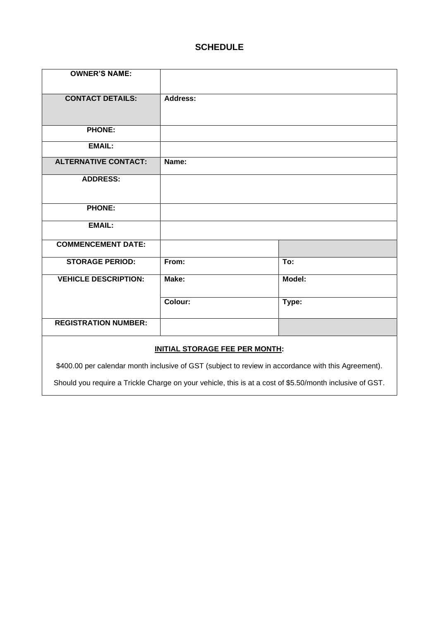# **SCHEDULE**

| <b>OWNER'S NAME:</b>                  |                 |        |  |  |  |  |
|---------------------------------------|-----------------|--------|--|--|--|--|
| <b>CONTACT DETAILS:</b>               | <b>Address:</b> |        |  |  |  |  |
| <b>PHONE:</b>                         |                 |        |  |  |  |  |
| <b>EMAIL:</b>                         |                 |        |  |  |  |  |
| <b>ALTERNATIVE CONTACT:</b>           | Name:           |        |  |  |  |  |
| <b>ADDRESS:</b>                       |                 |        |  |  |  |  |
| <b>PHONE:</b>                         |                 |        |  |  |  |  |
| <b>EMAIL:</b>                         |                 |        |  |  |  |  |
| <b>COMMENCEMENT DATE:</b>             |                 |        |  |  |  |  |
| <b>STORAGE PERIOD:</b>                | From:           | To:    |  |  |  |  |
| <b>VEHICLE DESCRIPTION:</b>           | Make:           | Model: |  |  |  |  |
|                                       | <b>Colour:</b>  | Type:  |  |  |  |  |
| <b>REGISTRATION NUMBER:</b>           |                 |        |  |  |  |  |
| <b>INITIAL STORAGE FEE PER MONTH:</b> |                 |        |  |  |  |  |

\$400.00 per calendar month inclusive of GST (subject to review in accordance with this Agreement).

Should you require a Trickle Charge on your vehicle, this is at a cost of \$5.50/month inclusive of GST.